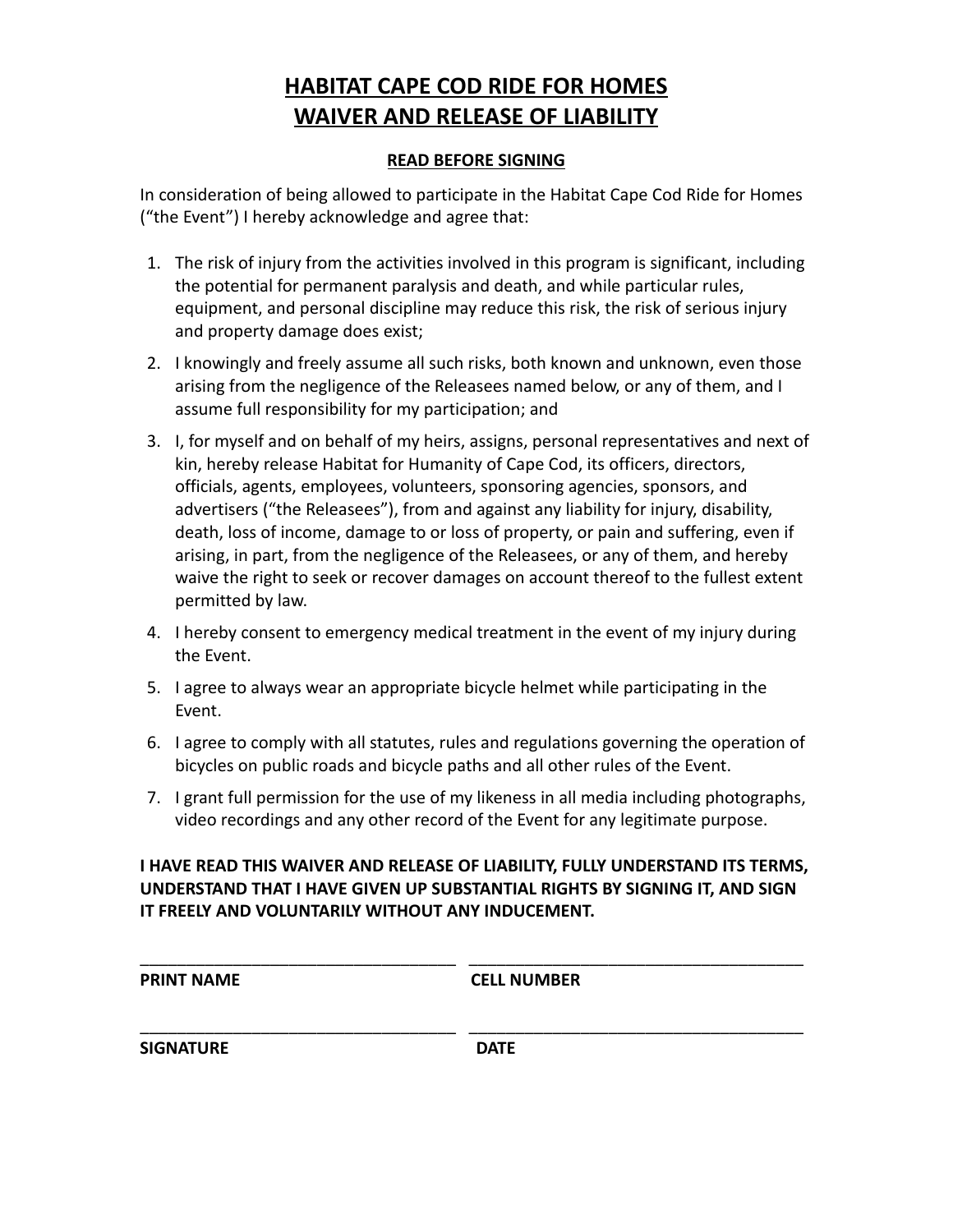## **HABITAT CAPE COD RIDE FOR HOMES WAIVER AND RELEASE OF LIABILITY**

## **READ BEFORE SIGNING**

In consideration of being allowed to participate in the Habitat Cape Cod Ride for Homes ("the Event") I hereby acknowledge and agree that:

- 1. The risk of injury from the activities involved in this program is significant, including the potential for permanent paralysis and death, and while particular rules, equipment, and personal discipline may reduce this risk, the risk of serious injury and property damage does exist;
- 2. I knowingly and freely assume all such risks, both known and unknown, even those arising from the negligence of the Releasees named below, or any of them, and I assume full responsibility for my participation; and
- 3. I, for myself and on behalf of my heirs, assigns, personal representatives and next of kin, hereby release Habitat for Humanity of Cape Cod, its officers, directors, officials, agents, employees, volunteers, sponsoring agencies, sponsors, and advertisers ("the Releasees"), from and against any liability for injury, disability, death, loss of income, damage to or loss of property, or pain and suffering, even if arising, in part, from the negligence of the Releasees, or any of them, and hereby waive the right to seek or recover damages on account thereof to the fullest extent permitted by law.
- 4. I hereby consent to emergency medical treatment in the event of my injury during the Event.
- 5. I agree to always wear an appropriate bicycle helmet while participating in the Event.
- 6. I agree to comply with all statutes, rules and regulations governing the operation of bicycles on public roads and bicycle paths and all other rules of the Event.
- 7. I grant full permission for the use of my likeness in all media including photographs, video recordings and any other record of the Event for any legitimate purpose.

## **I HAVE READ THIS WAIVER AND RELEASE OF LIABILITY, FULLY UNDERSTAND ITS TERMS, UNDERSTAND THAT I HAVE GIVEN UP SUBSTANTIAL RIGHTS BY SIGNING IT, AND SIGN IT FREELY AND VOLUNTARILY WITHOUT ANY INDUCEMENT.**

\_\_\_\_\_\_\_\_\_\_\_\_\_\_\_\_\_\_\_\_\_\_\_\_\_\_\_\_\_\_\_\_\_\_ \_\_\_\_\_\_\_\_\_\_\_\_\_\_\_\_\_\_\_\_\_\_\_\_\_\_\_\_\_\_\_\_\_\_\_\_

\_\_\_\_\_\_\_\_\_\_\_\_\_\_\_\_\_\_\_\_\_\_\_\_\_\_\_\_\_\_\_\_\_\_ \_\_\_\_\_\_\_\_\_\_\_\_\_\_\_\_\_\_\_\_\_\_\_\_\_\_\_\_\_\_\_\_\_\_\_\_

**PRINT NAME CELL NUMBER**

**SIGNATURE DATE**